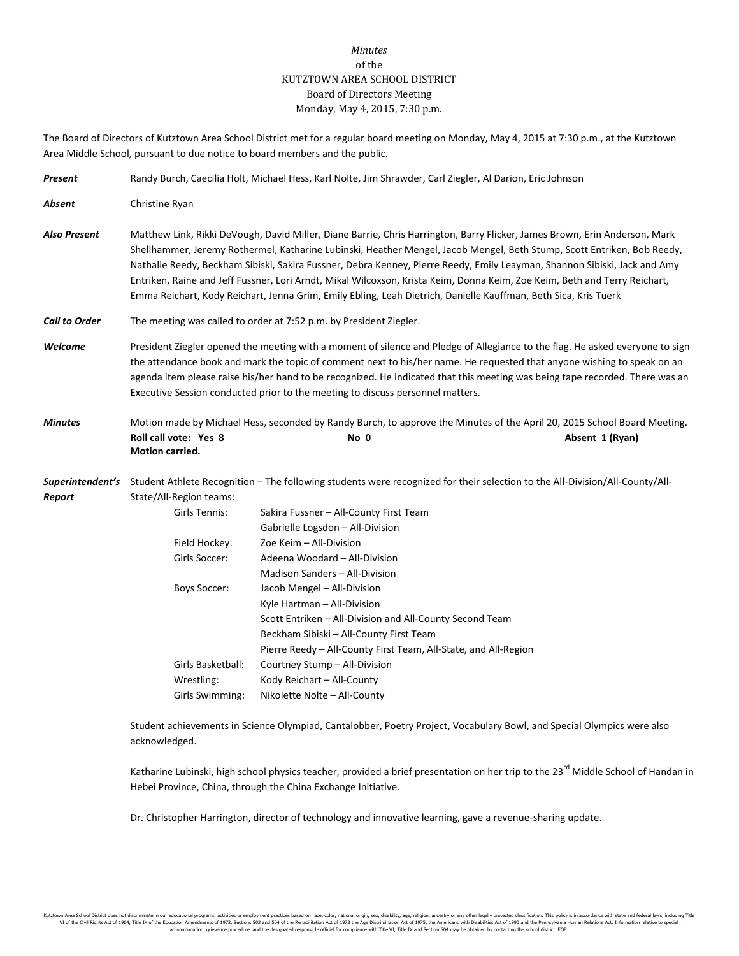## *Minutes* of the KUTZTOWN AREA SCHOOL DISTRICT Board of Directors Meeting Monday, May 4, 2015, 7:30 p.m.

The Board of Directors of Kutztown Area School District met for a regular board meeting on Monday, May 4, 2015 at 7:30 p.m., at the Kutztown Area Middle School, pursuant to due notice to board members and the public.

| Present              | Randy Burch, Caecilia Holt, Michael Hess, Karl Nolte, Jim Shrawder, Carl Ziegler, Al Darion, Eric Johnson                                                                                                                                                                                                                                                                                                                                                                                                                                                                                                                           |                                                                                                                                                     |  |  |  |
|----------------------|-------------------------------------------------------------------------------------------------------------------------------------------------------------------------------------------------------------------------------------------------------------------------------------------------------------------------------------------------------------------------------------------------------------------------------------------------------------------------------------------------------------------------------------------------------------------------------------------------------------------------------------|-----------------------------------------------------------------------------------------------------------------------------------------------------|--|--|--|
| Absent               | Christine Ryan                                                                                                                                                                                                                                                                                                                                                                                                                                                                                                                                                                                                                      |                                                                                                                                                     |  |  |  |
| <b>Also Present</b>  | Matthew Link, Rikki DeVough, David Miller, Diane Barrie, Chris Harrington, Barry Flicker, James Brown, Erin Anderson, Mark<br>Shellhammer, Jeremy Rothermel, Katharine Lubinski, Heather Mengel, Jacob Mengel, Beth Stump, Scott Entriken, Bob Reedy,<br>Nathalie Reedy, Beckham Sibiski, Sakira Fussner, Debra Kenney, Pierre Reedy, Emily Leayman, Shannon Sibiski, Jack and Amy<br>Entriken, Raine and Jeff Fussner, Lori Arndt, Mikal Wilcoxson, Krista Keim, Donna Keim, Zoe Keim, Beth and Terry Reichart,<br>Emma Reichart, Kody Reichart, Jenna Grim, Emily Ebling, Leah Dietrich, Danielle Kauffman, Beth Sica, Kris Tuerk |                                                                                                                                                     |  |  |  |
| <b>Call to Order</b> | The meeting was called to order at 7:52 p.m. by President Ziegler.                                                                                                                                                                                                                                                                                                                                                                                                                                                                                                                                                                  |                                                                                                                                                     |  |  |  |
| Welcome              | President Ziegler opened the meeting with a moment of silence and Pledge of Allegiance to the flag. He asked everyone to sign<br>the attendance book and mark the topic of comment next to his/her name. He requested that anyone wishing to speak on an<br>agenda item please raise his/her hand to be recognized. He indicated that this meeting was being tape recorded. There was an<br>Executive Session conducted prior to the meeting to discuss personnel matters.                                                                                                                                                          |                                                                                                                                                     |  |  |  |
| <b>Minutes</b>       | Roll call vote: Yes 8<br>Motion carried.                                                                                                                                                                                                                                                                                                                                                                                                                                                                                                                                                                                            | Motion made by Michael Hess, seconded by Randy Burch, to approve the Minutes of the April 20, 2015 School Board Meeting.<br>No 0<br>Absent 1 (Ryan) |  |  |  |
| Report               | Superintendent's Student Athlete Recognition - The following students were recognized for their selection to the All-Division/All-County/All-<br>State/All-Region teams:                                                                                                                                                                                                                                                                                                                                                                                                                                                            |                                                                                                                                                     |  |  |  |
|                      | Girls Tennis:                                                                                                                                                                                                                                                                                                                                                                                                                                                                                                                                                                                                                       | Sakira Fussner - All-County First Team                                                                                                              |  |  |  |
|                      |                                                                                                                                                                                                                                                                                                                                                                                                                                                                                                                                                                                                                                     | Gabrielle Logsdon - All-Division                                                                                                                    |  |  |  |
|                      | Field Hockey:                                                                                                                                                                                                                                                                                                                                                                                                                                                                                                                                                                                                                       | Zoe Keim - All-Division                                                                                                                             |  |  |  |
|                      | Girls Soccer:                                                                                                                                                                                                                                                                                                                                                                                                                                                                                                                                                                                                                       | Adeena Woodard - All-Division                                                                                                                       |  |  |  |
|                      |                                                                                                                                                                                                                                                                                                                                                                                                                                                                                                                                                                                                                                     | Madison Sanders - All-Division                                                                                                                      |  |  |  |
|                      | <b>Boys Soccer:</b>                                                                                                                                                                                                                                                                                                                                                                                                                                                                                                                                                                                                                 | Jacob Mengel - All-Division                                                                                                                         |  |  |  |
|                      |                                                                                                                                                                                                                                                                                                                                                                                                                                                                                                                                                                                                                                     | Kyle Hartman - All-Division                                                                                                                         |  |  |  |
|                      |                                                                                                                                                                                                                                                                                                                                                                                                                                                                                                                                                                                                                                     | Scott Entriken - All-Division and All-County Second Team                                                                                            |  |  |  |
|                      |                                                                                                                                                                                                                                                                                                                                                                                                                                                                                                                                                                                                                                     | Beckham Sibiski - All-County First Team                                                                                                             |  |  |  |
|                      |                                                                                                                                                                                                                                                                                                                                                                                                                                                                                                                                                                                                                                     | Pierre Reedy - All-County First Team, All-State, and All-Region                                                                                     |  |  |  |
|                      | Girls Basketball:                                                                                                                                                                                                                                                                                                                                                                                                                                                                                                                                                                                                                   | Courtney Stump - All-Division                                                                                                                       |  |  |  |
|                      | Wrestling:                                                                                                                                                                                                                                                                                                                                                                                                                                                                                                                                                                                                                          | Kody Reichart - All-County                                                                                                                          |  |  |  |
|                      | Girls Swimming:                                                                                                                                                                                                                                                                                                                                                                                                                                                                                                                                                                                                                     | Nikolette Nolte - All-County                                                                                                                        |  |  |  |
|                      |                                                                                                                                                                                                                                                                                                                                                                                                                                                                                                                                                                                                                                     |                                                                                                                                                     |  |  |  |

Student achievements in Science Olympiad, Cantalobber, Poetry Project, Vocabulary Bowl, and Special Olympics were also acknowledged.

Katharine Lubinski, high school physics teacher, provided a brief presentation on her trip to the 23<sup>rd</sup> Middle School of Handan in Hebei Province, China, through the China Exchange Initiative.

Dr. Christopher Harrington, director of technology and innovative learning, gave a revenue-sharing update.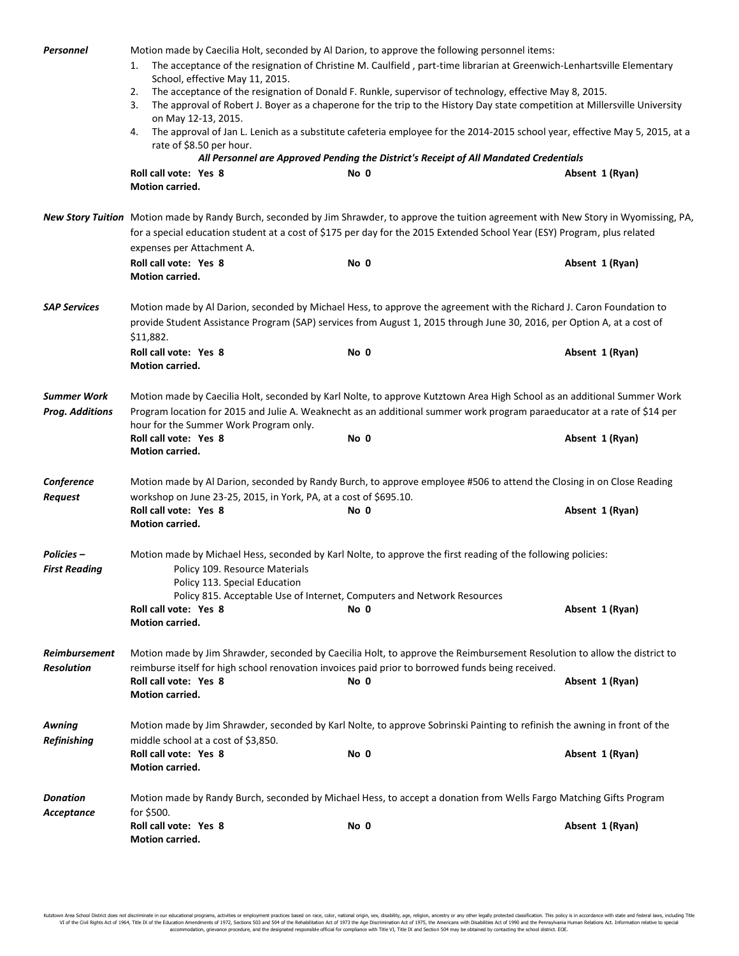| Personnel                                    | Motion made by Caecilia Holt, seconded by Al Darion, to approve the following personnel items:<br>The acceptance of the resignation of Christine M. Caulfield, part-time librarian at Greenwich-Lenhartsville Elementary<br>1.<br>School, effective May 11, 2015.<br>The acceptance of the resignation of Donald F. Runkle, supervisor of technology, effective May 8, 2015.<br>2.<br>The approval of Robert J. Boyer as a chaperone for the trip to the History Day state competition at Millersville University<br>3.<br>on May 12-13, 2015.<br>The approval of Jan L. Lenich as a substitute cafeteria employee for the 2014-2015 school year, effective May 5, 2015, at a<br>4.<br>rate of \$8.50 per hour.<br>All Personnel are Approved Pending the District's Receipt of All Mandated Credentials<br>Roll call vote: Yes 8<br>No 0<br>Absent 1 (Ryan)<br>Motion carried. |                                                                                                                                                                                                                                       |                 |  |  |
|----------------------------------------------|---------------------------------------------------------------------------------------------------------------------------------------------------------------------------------------------------------------------------------------------------------------------------------------------------------------------------------------------------------------------------------------------------------------------------------------------------------------------------------------------------------------------------------------------------------------------------------------------------------------------------------------------------------------------------------------------------------------------------------------------------------------------------------------------------------------------------------------------------------------------------------|---------------------------------------------------------------------------------------------------------------------------------------------------------------------------------------------------------------------------------------|-----------------|--|--|
|                                              |                                                                                                                                                                                                                                                                                                                                                                                                                                                                                                                                                                                                                                                                                                                                                                                                                                                                                 |                                                                                                                                                                                                                                       |                 |  |  |
|                                              | New Story Tuition Motion made by Randy Burch, seconded by Jim Shrawder, to approve the tuition agreement with New Story in Wyomissing, PA,<br>for a special education student at a cost of \$175 per day for the 2015 Extended School Year (ESY) Program, plus related                                                                                                                                                                                                                                                                                                                                                                                                                                                                                                                                                                                                          |                                                                                                                                                                                                                                       |                 |  |  |
|                                              | expenses per Attachment A.                                                                                                                                                                                                                                                                                                                                                                                                                                                                                                                                                                                                                                                                                                                                                                                                                                                      |                                                                                                                                                                                                                                       |                 |  |  |
|                                              | Roll call vote: Yes 8<br>Motion carried.                                                                                                                                                                                                                                                                                                                                                                                                                                                                                                                                                                                                                                                                                                                                                                                                                                        | No 0                                                                                                                                                                                                                                  | Absent 1 (Ryan) |  |  |
| <b>SAP Services</b>                          | Motion made by Al Darion, seconded by Michael Hess, to approve the agreement with the Richard J. Caron Foundation to<br>provide Student Assistance Program (SAP) services from August 1, 2015 through June 30, 2016, per Option A, at a cost of<br>\$11,882.                                                                                                                                                                                                                                                                                                                                                                                                                                                                                                                                                                                                                    |                                                                                                                                                                                                                                       |                 |  |  |
|                                              | Roll call vote: Yes 8<br>Motion carried.                                                                                                                                                                                                                                                                                                                                                                                                                                                                                                                                                                                                                                                                                                                                                                                                                                        | No 0                                                                                                                                                                                                                                  | Absent 1 (Ryan) |  |  |
| <b>Summer Work</b><br><b>Prog. Additions</b> | Motion made by Caecilia Holt, seconded by Karl Nolte, to approve Kutztown Area High School as an additional Summer Work<br>Program location for 2015 and Julie A. Weaknecht as an additional summer work program paraeducator at a rate of \$14 per<br>hour for the Summer Work Program only.                                                                                                                                                                                                                                                                                                                                                                                                                                                                                                                                                                                   |                                                                                                                                                                                                                                       |                 |  |  |
|                                              | Roll call vote: Yes 8<br>Motion carried.                                                                                                                                                                                                                                                                                                                                                                                                                                                                                                                                                                                                                                                                                                                                                                                                                                        | No 0                                                                                                                                                                                                                                  | Absent 1 (Ryan) |  |  |
| Conference                                   | Motion made by Al Darion, seconded by Randy Burch, to approve employee #506 to attend the Closing in on Close Reading                                                                                                                                                                                                                                                                                                                                                                                                                                                                                                                                                                                                                                                                                                                                                           |                                                                                                                                                                                                                                       |                 |  |  |
| <b>Request</b>                               | workshop on June 23-25, 2015, in York, PA, at a cost of \$695.10.<br>Roll call vote: Yes 8<br>Motion carried.                                                                                                                                                                                                                                                                                                                                                                                                                                                                                                                                                                                                                                                                                                                                                                   | No 0                                                                                                                                                                                                                                  | Absent 1 (Ryan) |  |  |
| <b>Policies –</b><br><b>First Reading</b>    | Motion made by Michael Hess, seconded by Karl Nolte, to approve the first reading of the following policies:<br>Policy 109. Resource Materials<br>Policy 113. Special Education                                                                                                                                                                                                                                                                                                                                                                                                                                                                                                                                                                                                                                                                                                 |                                                                                                                                                                                                                                       |                 |  |  |
|                                              | Policy 815. Acceptable Use of Internet, Computers and Network Resources<br>Roll call vote: Yes 8<br>Motion carried.                                                                                                                                                                                                                                                                                                                                                                                                                                                                                                                                                                                                                                                                                                                                                             | No 0                                                                                                                                                                                                                                  | Absent 1 (Ryan) |  |  |
| <b>Reimbursement</b><br><b>Resolution</b>    | Roll call vote: Yes 8<br>Motion carried.                                                                                                                                                                                                                                                                                                                                                                                                                                                                                                                                                                                                                                                                                                                                                                                                                                        | Motion made by Jim Shrawder, seconded by Caecilia Holt, to approve the Reimbursement Resolution to allow the district to<br>reimburse itself for high school renovation invoices paid prior to borrowed funds being received.<br>No 0 | Absent 1 (Ryan) |  |  |
|                                              |                                                                                                                                                                                                                                                                                                                                                                                                                                                                                                                                                                                                                                                                                                                                                                                                                                                                                 |                                                                                                                                                                                                                                       |                 |  |  |
| Awning<br><b>Refinishing</b>                 | middle school at a cost of \$3,850.<br>Roll call vote: Yes 8                                                                                                                                                                                                                                                                                                                                                                                                                                                                                                                                                                                                                                                                                                                                                                                                                    | Motion made by Jim Shrawder, seconded by Karl Nolte, to approve Sobrinski Painting to refinish the awning in front of the<br>No 0                                                                                                     | Absent 1 (Ryan) |  |  |
|                                              | Motion carried.                                                                                                                                                                                                                                                                                                                                                                                                                                                                                                                                                                                                                                                                                                                                                                                                                                                                 |                                                                                                                                                                                                                                       |                 |  |  |
| <b>Donation</b><br>Acceptance                | for \$500.                                                                                                                                                                                                                                                                                                                                                                                                                                                                                                                                                                                                                                                                                                                                                                                                                                                                      | Motion made by Randy Burch, seconded by Michael Hess, to accept a donation from Wells Fargo Matching Gifts Program                                                                                                                    |                 |  |  |
|                                              | Roll call vote: Yes 8<br>Motion carried.                                                                                                                                                                                                                                                                                                                                                                                                                                                                                                                                                                                                                                                                                                                                                                                                                                        | No 0                                                                                                                                                                                                                                  | Absent 1 (Ryan) |  |  |

Kutztown Area School District does not discriminate in our educational programs, activities or employment practices based on race, color, national origin, sex, disability, age, religion, ancestry or any other legally prot